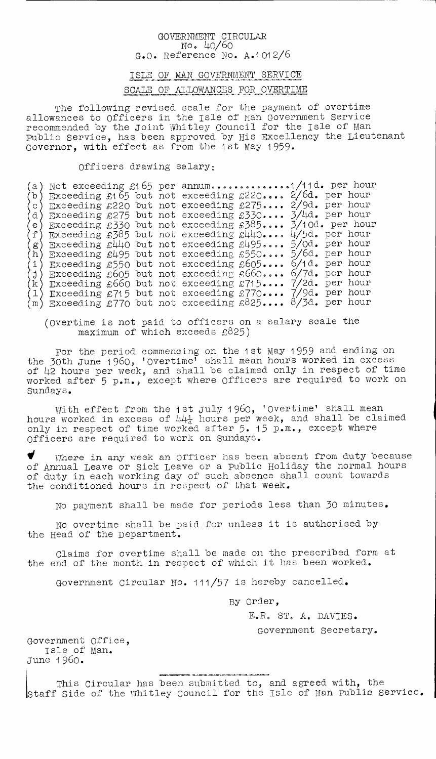## GOVERNMENT CIRCULAR. No. 40/60 G.O. Reference No. A.1012/6

## ISLE OF MAN GOVERNMENT SERVICE SCALE OF ALLOWANCES FOR OVERTIME

The following revised scale for the payment of overtime allowances to Officers in the Isle of Man Government Service recommended by the joint Whitley Council for the Isle of man public Service, has been approved by His Excellency the Lieutenant Governor, with effect as from the 1st may 1959.

Officers drawing salary:

a)  $(b)$ d) e) f  $\langle \bar{h} \rangle$  $\langle 1 \rangle$ k) 1)  $(m)$ Not exceeding £165 per annum. ............. 1/11d. per hour Exceeding £165 but not exceeding £220.... 2/6d. per hour  $\circ$  Exceeding £220 but not exceeding £275.... 2/9d. per hour Exceeding £275 but not exceeding £330.... 3/4d. per hour Exceeding £330 but not exceeding 385.... 5/10d. per hour Exceeding £385 but not exceeding g440.... 4/5d. per hour Exceeding £440 but not exceeding g495.... 5/0d. per hour Exceeding £495 but not exceeding £550.... 5/6d. per hour Exceeding £550 but not exceeding g605.... 6/1d. per hour Exceeding £605 but not exceeding £660.... 6/7d. per hour Exceeding £660 but not exceeding £715.... 7/2d. per hour Exceeding £715 but not exceeding £770.... 7/9d. per hour Exceeding £770 but not exceeding £825.... 8/3d. per hour

(Overtime is not paid to officers on a salary scale the maximum of which exceeds  $£825)$ 

For the period commencing on the 1st may 1 959 and ending on the 30th June 1960, 'overtime' shall mean hours worked in excess of 42 hours per week, and shall be claimed only in respect of time worked after 5 p.m., except where Officers are required to work on Sundays.

With effect from the 1st July 1960, 'Overtime' shall mean hours worked in excess of  $44\frac{1}{4}$  hours per week, and shall be claimed only in respect of time worked after 5. 15 p.m., except where Officers are required to work on Sundays.

1 Where in any week an Officer has been absent from duty because of Annual Leave or Sick Leave or a public Holiday the normal hours of duty in each working day of such absence shall count towards the conditioned hours in respect of that week.

No payment shall be made for periods less than 30 minutes.

No overtime shall be paid for unless it is authorised by the Head of the Department.

Claims for overtime shall be made on the prescribed form at the end of the month in respect of which it has been worked.

Government Circular No. 111/57 is hereby cancelled.

By Order,

E.R. ST. A. DAVIES.

Government Secretary.

Government Office, Isle of man. June 1960.

This Circular has been submitted to, and agreed with, the Staff Side of the Whitley Council for the Isle of man public Service.